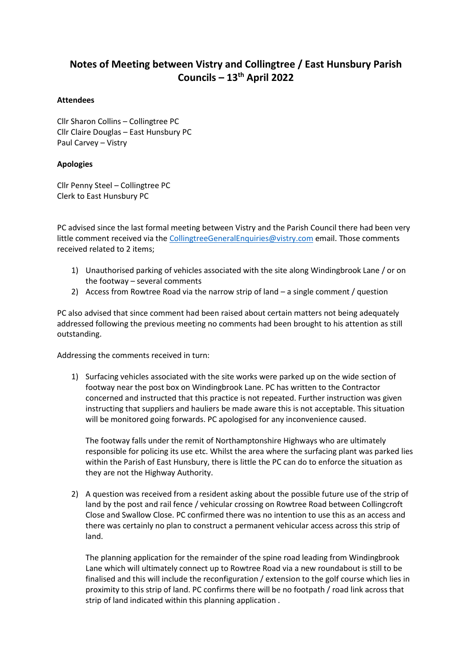# **Notes of Meeting between Vistry and Collingtree / East Hunsbury Parish Councils – 13th April 2022**

# **Attendees**

Cllr Sharon Collins – Collingtree PC Cllr Claire Douglas – East Hunsbury PC Paul Carvey – Vistry

# **Apologies**

Cllr Penny Steel – Collingtree PC Clerk to East Hunsbury PC

PC advised since the last formal meeting between Vistry and the Parish Council there had been very little comment received via th[e CollingtreeGeneralEnquiries@vistry.com](mailto:CollingtreeGeneralEnquiries@vistry.com) email. Those comments received related to 2 items;

- 1) Unauthorised parking of vehicles associated with the site along Windingbrook Lane / or on the footway – several comments
- 2) Access from Rowtree Road via the narrow strip of land a single comment / question

PC also advised that since comment had been raised about certain matters not being adequately addressed following the previous meeting no comments had been brought to his attention as still outstanding.

Addressing the comments received in turn:

1) Surfacing vehicles associated with the site works were parked up on the wide section of footway near the post box on Windingbrook Lane. PC has written to the Contractor concerned and instructed that this practice is not repeated. Further instruction was given instructing that suppliers and hauliers be made aware this is not acceptable. This situation will be monitored going forwards. PC apologised for any inconvenience caused.

The footway falls under the remit of Northamptonshire Highways who are ultimately responsible for policing its use etc. Whilst the area where the surfacing plant was parked lies within the Parish of East Hunsbury, there is little the PC can do to enforce the situation as they are not the Highway Authority.

2) A question was received from a resident asking about the possible future use of the strip of land by the post and rail fence / vehicular crossing on Rowtree Road between Collingcroft Close and Swallow Close. PC confirmed there was no intention to use this as an access and there was certainly no plan to construct a permanent vehicular access across this strip of land.

The planning application for the remainder of the spine road leading from Windingbrook Lane which will ultimately connect up to Rowtree Road via a new roundabout is still to be finalised and this will include the reconfiguration / extension to the golf course which lies in proximity to this strip of land. PC confirms there will be no footpath / road link across that strip of land indicated within this planning application .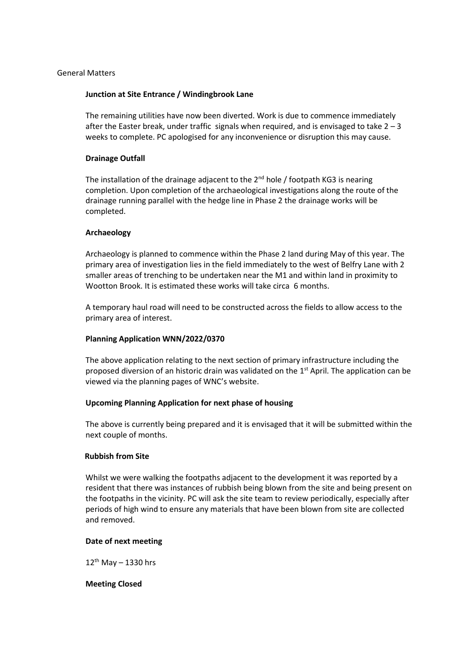# General Matters

# **Junction at Site Entrance / Windingbrook Lane**

The remaining utilities have now been diverted. Work is due to commence immediately after the Easter break, under traffic signals when required, and is envisaged to take  $2 - 3$ weeks to complete. PC apologised for any inconvenience or disruption this may cause.

## **Drainage Outfall**

The installation of the drainage adjacent to the  $2^{nd}$  hole / footpath KG3 is nearing completion. Upon completion of the archaeological investigations along the route of the drainage running parallel with the hedge line in Phase 2 the drainage works will be completed.

# **Archaeology**

Archaeology is planned to commence within the Phase 2 land during May of this year. The primary area of investigation lies in the field immediately to the west of Belfry Lane with 2 smaller areas of trenching to be undertaken near the M1 and within land in proximity to Wootton Brook. It is estimated these works will take circa 6 months.

A temporary haul road will need to be constructed across the fields to allow access to the primary area of interest.

#### **Planning Application WNN/2022/0370**

The above application relating to the next section of primary infrastructure including the proposed diversion of an historic drain was validated on the  $1<sup>st</sup>$  April. The application can be viewed via the planning pages of WNC's website.

#### **Upcoming Planning Application for next phase of housing**

The above is currently being prepared and it is envisaged that it will be submitted within the next couple of months.

# **Rubbish from Site**

Whilst we were walking the footpaths adjacent to the development it was reported by a resident that there was instances of rubbish being blown from the site and being present on the footpaths in the vicinity. PC will ask the site team to review periodically, especially after periods of high wind to ensure any materials that have been blown from site are collected and removed.

#### **Date of next meeting**

 $12^{th}$  May - 1330 hrs

#### **Meeting Closed**